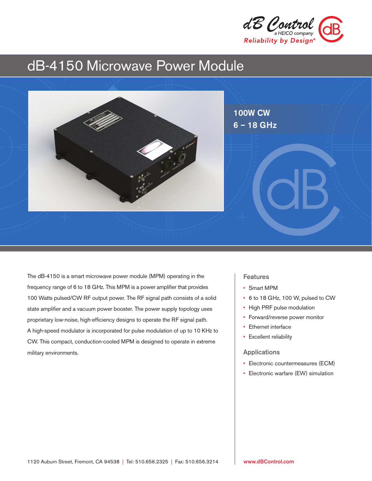

# dB-4150 Microwave Power Module



The dB-4150 is a smart microwave power module (MPM) operating in the frequency range of 6 to 18 GHz. This MPM is a power amplifier that provides 100 Watts pulsed/CW RF output power. The RF signal path consists of a solid state amplifier and a vacuum power booster. The power supply topology uses proprietary low-noise, high-efficiency designs to operate the RF signal path. A high-speed modulator is incorporated for pulse modulation of up to 10 KHz to CW. This compact, conduction-cooled MPM is designed to operate in extreme military environments.

### **Features**

- Smart MPM
- 6 to 18 GHz, 100 W, pulsed to CW
- High PRF pulse modulation
- Forward/reverse power monitor
- Ethernet interface
- Excellent reliability

### Applications

- Electronic countermeasures (ECM)
- Electronic warfare (EW) simulation